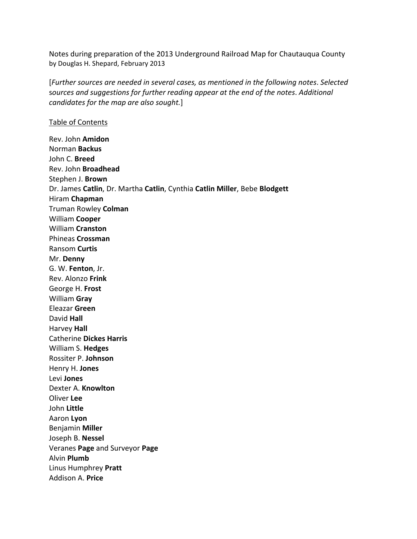Notes during preparation of the 2013 Underground Railroad Map for Chautauqua County by Douglas H. Shepard, February 2013

[*Further sources are needed in several cases, as mentioned in the following notes*. *Selected* s*ources and suggestions for further reading appear at the end of the notes*. *Additional candidates for the map are also sought.*]

## Table of Contents

Rev. John **Amidon** Norman **Backus** John C. **Breed** Rev. John **Broadhead** Stephen J. **Brown** Dr. James **Catlin**, Dr. Martha **Catlin**, Cynthia **Catlin Miller**, Bebe **Blodgett** Hiram **Chapman** Truman Rowley **Colman** William **Cooper** William **Cranston** Phineas **Crossman** Ransom **Curtis** Mr. **Denny** G. W. **Fenton**, Jr. Rev. Alonzo **Frink** George H. **Frost** William **Gray** Eleazar **Green** David **Hall** Harvey **Hall** Catherine **Dickes Harris** William S. **Hedges** Rossiter P. **Johnson** Henry H. **Jones** Levi **Jones** Dexter A. **Knowlton** Oliver **Lee** John **Little** Aaron **Lyon** Benjamin **Miller** Joseph B. **Nessel** Veranes **Page** and Surveyor **Page** Alvin **Plumb** Linus Humphrey **Pratt** Addison A. **Price**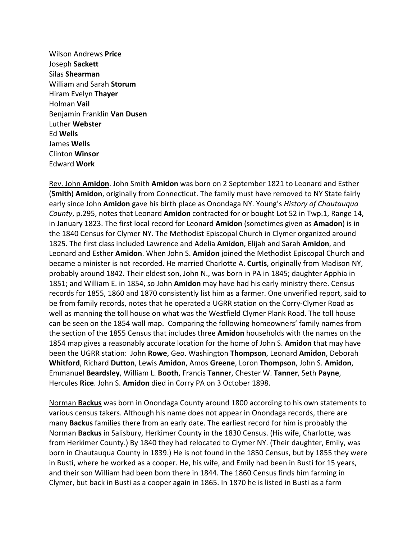Wilson Andrews **Price** Joseph **Sackett** Silas **Shearman** William and Sarah **Storum** Hiram Evelyn **Thayer** Holman **Vail** Benjamin Franklin **Van Dusen** Luther **Webster** Ed **Wells** James **Wells** Clinton **Winsor** Edward **Work**

Rev. John **Amidon**. John Smith **Amidon** was born on 2 September 1821 to Leonard and Esther (**Smith**) **Amidon**, originally from Connecticut. The family must have removed to NY State fairly early since John **Amidon** gave his birth place as Onondaga NY. Young's *History of Chautauqua County*, p.295, notes that Leonard **Amidon** contracted for or bought Lot 52 in Twp.1, Range 14, in January 1823. The first local record for Leonard **Amidon** (sometimes given as **Amadon**) is in the 1840 Census for Clymer NY. The Methodist Episcopal Church in Clymer organized around 1825. The first class included Lawrence and Adelia **Amidon**, Elijah and Sarah **Amidon**, and Leonard and Esther **Amidon**. When John S. **Amidon** joined the Methodist Episcopal Church and became a minister is not recorded. He married Charlotte A. **Curtis**, originally from Madison NY, probably around 1842. Their eldest son, John N., was born in PA in 1845; daughter Apphia in 1851; and William E. in 1854, so John **Amidon** may have had his early ministry there. Census records for 1855, 1860 and 1870 consistently list him as a farmer. One unverified report, said to be from family records, notes that he operated a UGRR station on the Corry-Clymer Road as well as manning the toll house on what was the Westfield Clymer Plank Road. The toll house can be seen on the 1854 wall map. Comparing the following homeowners' family names from the section of the 1855 Census that includes three **Amidon** households with the names on the 1854 map gives a reasonably accurate location for the home of John S. **Amidon** that may have been the UGRR station: John **Rowe**, Geo. Washington **Thompson**, Leonard **Amidon**, Deborah **Whitford**, Richard **Dutton**, Lewis **Amidon**, Amos **Greene**, Loron **Thompson**, John S. **Amidon**, Emmanuel **Beardsley**, William L. **Booth**, Francis **Tanner**, Chester W. **Tanner**, Seth **Payne**, Hercules **Rice**. John S. **Amidon** died in Corry PA on 3 October 1898.

Norman **Backus** was born in Onondaga County around 1800 according to his own statements to various census takers. Although his name does not appear in Onondaga records, there are many **Backus** families there from an early date. The earliest record for him is probably the Norman **Backus** in Salisbury, Herkimer County in the 1830 Census. (His wife, Charlotte, was from Herkimer County.) By 1840 they had relocated to Clymer NY. (Their daughter, Emily, was born in Chautauqua County in 1839.) He is not found in the 1850 Census, but by 1855 they were in Busti, where he worked as a cooper. He, his wife, and Emily had been in Busti for 15 years, and their son William had been born there in 1844. The 1860 Census finds him farming in Clymer, but back in Busti as a cooper again in 1865. In 1870 he is listed in Busti as a farm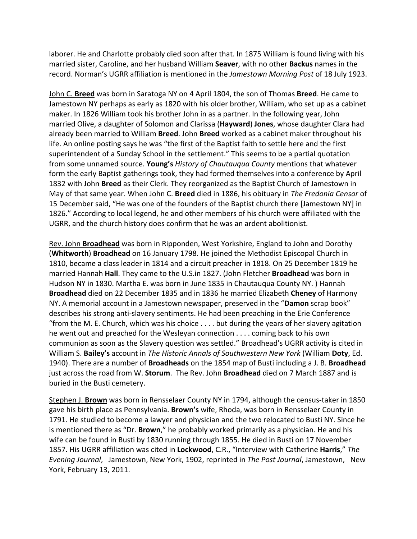laborer. He and Charlotte probably died soon after that. In 1875 William is found living with his married sister, Caroline, and her husband William **Seaver**, with no other **Backus** names in the record. Norman's UGRR affiliation is mentioned in the *Jamestown Morning Post* of 18 July 1923.

John C. **Breed** was born in Saratoga NY on 4 April 1804, the son of Thomas **Breed**. He came to Jamestown NY perhaps as early as 1820 with his older brother, William, who set up as a cabinet maker. In 1826 William took his brother John in as a partner. In the following year, John married Olive, a daughter of Solomon and Clarissa (**Hayward**) **Jones**, whose daughter Clara had already been married to William **Breed**. John **Breed** worked as a cabinet maker throughout his life. An online posting says he was "the first of the Baptist faith to settle here and the first superintendent of a Sunday School in the settlement." This seems to be a partial quotation from some unnamed source. **Young's** *History of Chautauqua County* mentions that whatever form the early Baptist gatherings took, they had formed themselves into a conference by April 1832 with John **Breed** as their Clerk. They reorganized as the Baptist Church of Jamestown in May of that same year. When John C. **Breed** died in 1886, his obituary in *The Fredonia Censor* of 15 December said, "He was one of the founders of the Baptist church there [Jamestown NY] in 1826." According to local legend, he and other members of his church were affiliated with the UGRR, and the church history does confirm that he was an ardent abolitionist.

Rev. John **Broadhead** was born in Ripponden, West Yorkshire, England to John and Dorothy (**Whitworth**) **Broadhead** on 16 January 1798. He joined the Methodist Episcopal Church in 1810, became a class leader in 1814 and a circuit preacher in 1818. On 25 December 1819 he married Hannah **Hall**. They came to the U.S.in 1827. (John Fletcher **Broadhead** was born in Hudson NY in 1830. Martha E. was born in June 1835 in Chautauqua County NY. ) Hannah **Broadhead** died on 22 December 1835 and in 1836 he married Elizabeth **Cheney** of Harmony NY. A memorial account in a Jamestown newspaper, preserved in the "**Damon** scrap book" describes his strong anti‐slavery sentiments. He had been preaching in the Erie Conference "from the M. E. Church, which was his choice  $\dots$  but during the years of her slavery agitation he went out and preached for the Wesleyan connection . . . . coming back to his own communion as soon as the Slavery question was settled." Broadhead's UGRR activity is cited in William S. **Bailey's** account in *The Historic Annals of Southwestern New York* (William **Doty**, Ed. 1940). There are a number of **Broadheads** on the 1854 map of Busti including a J. B. **Broadhead** just across the road from W. **Storum**. The Rev. John **Broadhead** died on 7 March 1887 and is buried in the Busti cemetery.

Stephen J. Brown was born in Rensselaer County NY in 1794, although the census-taker in 1850 gave his birth place as Pennsylvania. **Brown's** wife, Rhoda, was born in Rensselaer County in 1791. He studied to become a lawyer and physician and the two relocated to Busti NY. Since he is mentioned there as "Dr. **Brown**," he probably worked primarily as a physician. He and his wife can be found in Busti by 1830 running through 1855. He died in Busti on 17 November 1857. His UGRR affiliation was cited in **Lockwood**, C.R., "Interview with Catherine **Harris**," *The Evening Journal*, Jamestown, New York, 1902, reprinted in *The Post Journal*, Jamestown, New York, February 13, 2011.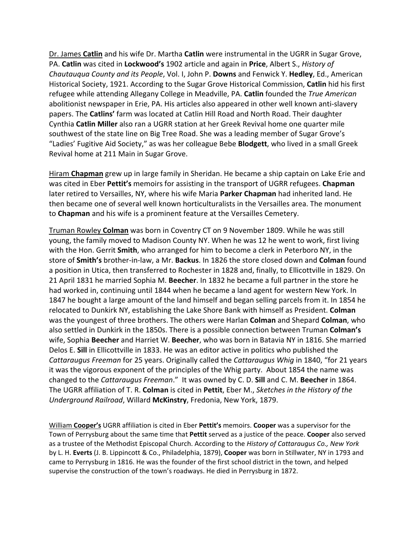Dr. James **Catlin** and his wife Dr. Martha **Catlin** were instrumental in the UGRR in Sugar Grove, PA. **Catlin** was cited in **Lockwood's** 1902 article and again in **Price**, Albert S., *History of Chautauqua County and its People*, Vol. I, John P. **Downs** and Fenwick Y. **Hedley**, Ed., American Historical Society, 1921. According to the Sugar Grove Historical Commission, **Catlin** hid his first refugee while attending Allegany College in Meadville, PA. **Catlin** founded the *True American* abolitionist newspaper in Erie, PA. His articles also appeared in other well known anti‐slavery papers. The **Catlins'** farm was located at Catlin Hill Road and North Road. Their daughter Cynthia **Catlin Miller** also ran a UGRR station at her Greek Revival home one quarter mile southwest of the state line on Big Tree Road. She was a leading member of Sugar Grove's "Ladies' Fugitive Aid Society," as was her colleague Bebe **Blodgett**, who lived in a small Greek Revival home at 211 Main in Sugar Grove.

Hiram **Chapman** grew up in large family in Sheridan. He became a ship captain on Lake Erie and was cited in Eber **Pettit's** memoirs for assisting in the transport of UGRR refugees. **Chapman** later retired to Versailles, NY, where his wife Maria **Parker Chapman** had inherited land. He then became one of several well known horticulturalists in the Versailles area. The monument to **Chapman** and his wife is a prominent feature at the Versailles Cemetery.

Truman Rowley **Colman** was born in Coventry CT on 9 November 1809. While he was still young, the family moved to Madison County NY. When he was 12 he went to work, first living with the Hon. Gerrit **Smith**, who arranged for him to become a clerk in Peterboro NY, in the store of **Smith's** brother‐in‐law, a Mr. **Backus**. In 1826 the store closed down and **Colman** found a position in Utica, then transferred to Rochester in 1828 and, finally, to Ellicottville in 1829. On 21 April 1831 he married Sophia M. **Beecher**. In 1832 he became a full partner in the store he had worked in, continuing until 1844 when he became a land agent for western New York. In 1847 he bought a large amount of the land himself and began selling parcels from it. In 1854 he relocated to Dunkirk NY, establishing the Lake Shore Bank with himself as President. **Colman** was the youngest of three brothers. The others were Harlan **Colman** and Shepard **Colman**, who also settled in Dunkirk in the 1850s. There is a possible connection between Truman **Colman's** wife, Sophia **Beecher** and Harriet W. **Beecher**, who was born in Batavia NY in 1816. She married Delos E. **Sill** in Ellicottville in 1833. He was an editor active in politics who published the *Cattaraugus Freeman* for 25 years. Originally called the *Cattaraugus Whig* in 1840, "for 21 years it was the vigorous exponent of the principles of the Whig party. About 1854 the name was changed to the *Cattaraugus Freeman*." It was owned by C. D. **Sill** and C. M. **Beecher** in 1864. The UGRR affiliation of T. R. **Colman** is cited in **Pettit**, Eber M., *Sketches in the History of the Underground Railroad*, Willard **McKinstry**, Fredonia, New York, 1879.

William **Cooper's** UGRR affiliation is cited in Eber **Pettit's** memoirs. **Cooper** was a supervisor for the Town of Perrysburg about the same time that **Pettit** served as a justice of the peace. **Cooper** also served as a trustee of the Methodist Episcopal Church. According to the *History of Cattaraugus Co., New York* by L. H. **Everts** (J. B. Lippincott & Co., Philadelphia, 1879), **Cooper** was born in Stillwater, NY in 1793 and came to Perrysburg in 1816. He was the founder of the first school district in the town, and helped supervise the construction of the town's roadways. He died in Perrysburg in 1872.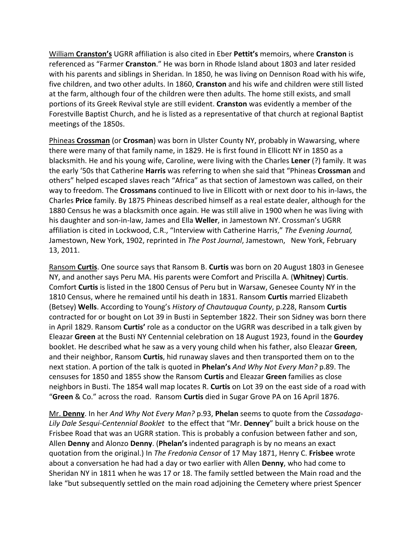William **Cranston's** UGRR affiliation is also cited in Eber **Pettit's** memoirs, where **Cranston** is referenced as "Farmer **Cranston**." He was born in Rhode Island about 1803 and later resided with his parents and siblings in Sheridan. In 1850, he was living on Dennison Road with his wife, five children, and two other adults. In 1860, **Cranston** and his wife and children were still listed at the farm, although four of the children were then adults. The home still exists, and small portions of its Greek Revival style are still evident. **Cranston** was evidently a member of the Forestville Baptist Church, and he is listed as a representative of that church at regional Baptist meetings of the 1850s.

Phineas **Crossman** (or **Crosman**) was born in Ulster County NY, probably in Wawarsing, where there were many of that family name, in 1829. He is first found in Ellicott NY in 1850 as a blacksmith. He and his young wife, Caroline, were living with the Charles **Lener** (?) family. It was the early '50s that Catherine **Harris** was referring to when she said that "Phineas **Crossman** and others" helped escaped slaves reach "Africa" as that section of Jamestown was called, on their way to freedom. The **Crossmans** continued to live in Ellicott with or next door to his in‐laws, the Charles **Price** family. By 1875 Phineas described himself as a real estate dealer, although for the 1880 Census he was a blacksmith once again. He was still alive in 1900 when he was living with his daughter and son‐in‐law, James and Ella **Weller**, in Jamestown NY. Crossman's UGRR affiliation is cited in Lockwood, C.R., "Interview with Catherine Harris," *The Evening Journal,* Jamestown, New York, 1902, reprinted in *The Post Journal*, Jamestown, New York, February 13, 2011.

Ransom **Curtis**. One source says that Ransom B. **Curtis** was born on 20 August 1803 in Genesee NY, and another says Peru MA. His parents were Comfort and Priscilla A. (**Whitney**) **Curtis**. Comfort **Curtis** is listed in the 1800 Census of Peru but in Warsaw, Genesee County NY in the 1810 Census, where he remained until his death in 1831. Ransom **Curtis** married Elizabeth (Betsey) **Wells**. According to Young's *History of Chautauqua County*, p.228, Ransom **Curtis** contracted for or bought on Lot 39 in Busti in September 1822. Their son Sidney was born there in April 1829. Ransom **Curtis'** role as a conductor on the UGRR was described in a talk given by Eleazar **Green** at the Busti NY Centennial celebration on 18 August 1923, found in the **Gourdey** booklet. He described what he saw as a very young child when his father, also Eleazar **Green**, and their neighbor, Ransom **Curtis**, hid runaway slaves and then transported them on to the next station. A portion of the talk is quoted in **Phelan's** *And Why Not Every Man?* p.89. The censuses for 1850 and 1855 show the Ransom **Curtis** and Eleazar **Green** families as close neighbors in Busti. The 1854 wall map locates R. **Curtis** on Lot 39 on the east side of a road with "**Green** & Co." across the road. Ransom **Curtis** died in Sugar Grove PA on 16 April 1876.

Mr. **Denny**. In her *And Why Not Every Man?* p.93, **Phelan** seems to quote from the *Cassadaga‐ Lily Dale Sesqui‐Centennial Booklet* to the effect that "Mr. **Denney**" built a brick house on the Frisbee Road that was an UGRR station. This is probably a confusion between father and son, Allen **Denny** and Alonzo **Denny**. (**Phelan's** indented paragraph is by no means an exact quotation from the original.) In *The Fredonia Censor* of 17 May 1871, Henry C. **Frisbee** wrote about a conversation he had had a day or two earlier with Allen **Denny**, who had come to Sheridan NY in 1811 when he was 17 or 18. The family settled between the Main road and the lake "but subsequently settled on the main road adjoining the Cemetery where priest Spencer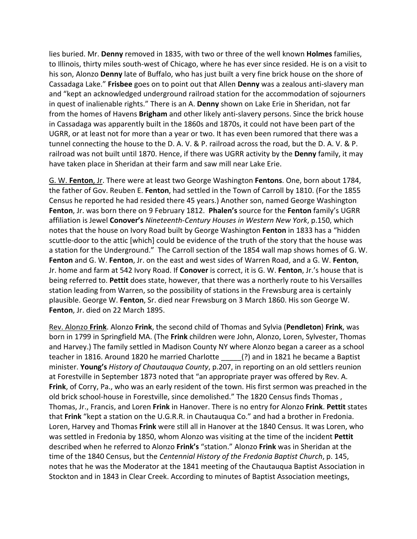lies buried. Mr. **Denny** removed in 1835, with two or three of the well known **Holmes** families, to Illinois, thirty miles south-west of Chicago, where he has ever since resided. He is on a visit to his son, Alonzo **Denny** late of Buffalo, who has just built a very fine brick house on the shore of Cassadaga Lake." **Frisbee** goes on to point out that Allen **Denny** was a zealous anti‐slavery man and "kept an acknowledged underground railroad station for the accommodation of sojourners in quest of inalienable rights." There is an A. **Denny** shown on Lake Erie in Sheridan, not far from the homes of Havens **Brigham** and other likely anti‐slavery persons. Since the brick house in Cassadaga was apparently built in the 1860s and 1870s, it could not have been part of the UGRR, or at least not for more than a year or two. It has even been rumored that there was a tunnel connecting the house to the D. A. V. & P. railroad across the road, but the D. A. V. & P. railroad was not built until 1870. Hence, if there was UGRR activity by the **Denny** family, it may have taken place in Sheridan at their farm and saw mill near Lake Erie.

G. W. **Fenton**, Jr. There were at least two George Washington **Fentons**. One, born about 1784, the father of Gov. Reuben E. **Fenton**, had settled in the Town of Carroll by 1810. (For the 1855 Census he reported he had resided there 45 years.) Another son, named George Washington **Fenton**, Jr. was born there on 9 February 1812. **Phalen's** source for the **Fenton** family's UGRR affiliation is Jewel **Conover's** *Nineteenth‐Century Houses in Western New York*, p.150, which notes that the house on Ivory Road built by George Washington **Fenton** in 1833 has a "hidden scuttle‐door to the attic [which] could be evidence of the truth of the story that the house was a station for the Underground." The Carroll section of the 1854 wall map shows homes of G. W. **Fenton** and G. W. **Fenton**, Jr. on the east and west sides of Warren Road, and a G. W. **Fenton**, Jr. home and farm at 542 Ivory Road. If **Conover** is correct, it is G. W. **Fenton**, Jr.'s house that is being referred to. **Pettit** does state, however, that there was a northerly route to his Versailles station leading from Warren, so the possibility of stations in the Frewsburg area is certainly plausible. George W. **Fenton**, Sr. died near Frewsburg on 3 March 1860. His son George W. **Fenton**, Jr. died on 22 March 1895.

Rev. Alonzo **Frink**. Alonzo **Frink**, the second child of Thomas and Sylvia (**Pendleton**) **Frink**, was born in 1799 in Springfield MA. (The **Frink** children were John, Alonzo, Loren, Sylvester, Thomas and Harvey.) The family settled in Madison County NY where Alonzo began a career as a school teacher in 1816. Around 1820 he married Charlotte \_\_\_\_\_(?) and in 1821 he became a Baptist minister. **Young's** *History of Chautauqua County*, p.207, in reporting on an old settlers reunion at Forestville in September 1873 noted that "an appropriate prayer was offered by Rev. A. **Frink**, of Corry, Pa., who was an early resident of the town. His first sermon was preached in the old brick school-house in Forestville, since demolished." The 1820 Census finds Thomas, Thomas, Jr., Francis, and Loren **Frink** in Hanover. There is no entry for Alonzo **Frink**. **Pettit** states that **Frink** "kept a station on the U.G.R.R. in Chautauqua Co." and had a brother in Fredonia. Loren, Harvey and Thomas **Frink** were still all in Hanover at the 1840 Census. It was Loren, who was settled in Fredonia by 1850, whom Alonzo was visiting at the time of the incident **Pettit** described when he referred to Alonzo **Frink's** "station." Alonzo **Frink** was in Sheridan at the time of the 1840 Census, but the *Centennial History of the Fredonia Baptist Church*, p. 145, notes that he was the Moderator at the 1841 meeting of the Chautauqua Baptist Association in Stockton and in 1843 in Clear Creek. According to minutes of Baptist Association meetings,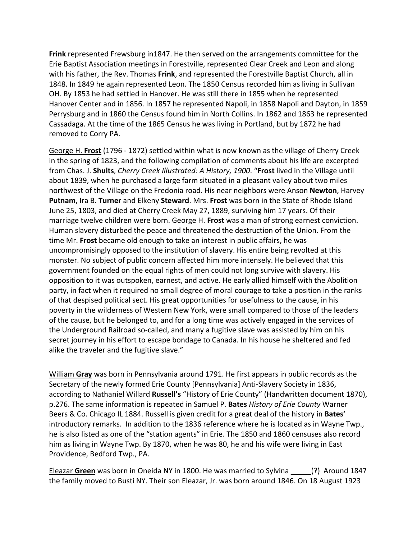**Frink** represented Frewsburg in1847. He then served on the arrangements committee for the Erie Baptist Association meetings in Forestville, represented Clear Creek and Leon and along with his father, the Rev. Thomas **Frink**, and represented the Forestville Baptist Church, all in 1848. In 1849 he again represented Leon. The 1850 Census recorded him as living in Sullivan OH. By 1853 he had settled in Hanover. He was still there in 1855 when he represented Hanover Center and in 1856. In 1857 he represented Napoli, in 1858 Napoli and Dayton, in 1859 Perrysburg and in 1860 the Census found him in North Collins. In 1862 and 1863 he represented Cassadaga. At the time of the 1865 Census he was living in Portland, but by 1872 he had removed to Corry PA.

George H. **Frost** (1796 ‐ 1872) settled within what is now known as the village of Cherry Creek in the spring of 1823, and the following compilation of comments about his life are excerpted from Chas. J. **Shults**, *Cherry Creek Illustrated: A History, 1900*. "**Frost** lived in the Village until about 1839, when he purchased a large farm situated in a pleasant valley about two miles northwest of the Village on the Fredonia road. His near neighbors were Anson **Newton**, Harvey **Putnam**, Ira B. **Turner** and Elkeny **Steward**. Mrs. **Frost** was born in the State of Rhode Island June 25, 1803, and died at Cherry Creek May 27, 1889, surviving him 17 years. Of their marriage twelve children were born. George H. **Frost** was a man of strong earnest conviction. Human slavery disturbed the peace and threatened the destruction of the Union. From the time Mr. **Frost** became old enough to take an interest in public affairs, he was uncompromisingly opposed to the institution of slavery. His entire being revolted at this monster. No subject of public concern affected him more intensely. He believed that this government founded on the equal rights of men could not long survive with slavery. His opposition to it was outspoken, earnest, and active. He early allied himself with the Abolition party, in fact when it required no small degree of moral courage to take a position in the ranks of that despised political sect. His great opportunities for usefulness to the cause, in his poverty in the wilderness of Western New York, were small compared to those of the leaders of the cause, but he belonged to, and for a long time was actively engaged in the services of the Underground Railroad so‐called, and many a fugitive slave was assisted by him on his secret journey in his effort to escape bondage to Canada. In his house he sheltered and fed alike the traveler and the fugitive slave."

William **Gray** was born in Pennsylvania around 1791. He first appears in public records as the Secretary of the newly formed Erie County [Pennsylvania] Anti‐Slavery Society in 1836, according to Nathaniel Willard **Russell's** "History of Erie County" (Handwritten document 1870), p.276. The same information is repeated in Samuel P. **Bates** *History of Erie County* Warner Beers & Co. Chicago IL 1884. Russell is given credit for a great deal of the history in **Bates'** introductory remarks. In addition to the 1836 reference where he is located as in Wayne Twp., he is also listed as one of the "station agents" in Erie. The 1850 and 1860 censuses also record him as living in Wayne Twp. By 1870, when he was 80, he and his wife were living in East Providence, Bedford Twp., PA.

Eleazar **Green** was born in Oneida NY in 1800. He was married to Sylvina \_\_\_\_\_(?) Around 1847 the family moved to Busti NY. Their son Eleazar, Jr. was born around 1846. On 18 August 1923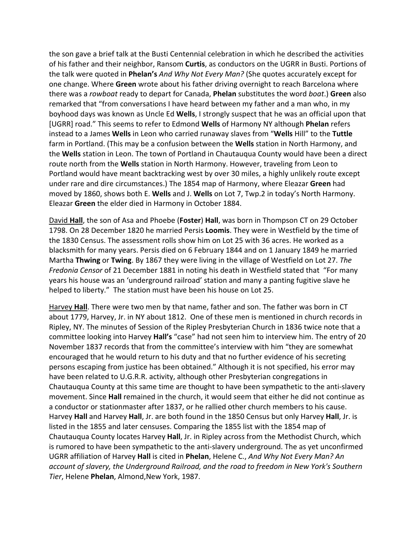the son gave a brief talk at the Busti Centennial celebration in which he described the activities of his father and their neighbor, Ransom **Curtis**, as conductors on the UGRR in Busti. Portions of the talk were quoted in **Phelan's** *And Why Not Every Man?* (She quotes accurately except for one change. Where **Green** wrote about his father driving overnight to reach Barcelona where there was a *rowboat* ready to depart for Canada, **Phelan** substitutes the word *boat*.) **Green** also remarked that "from conversations I have heard between my father and a man who, in my boyhood days was known as Uncle Ed **Wells**, I strongly suspect that he was an official upon that [UGRR] road." This seems to refer to Edmond **Wells** of Harmony NY although **Phelan** refers instead to a James **Wells** in Leon who carried runaway slaves from "**Wells** Hill" to the **Tuttle** farm in Portland. (This may be a confusion between the **Wells** station in North Harmony, and the **Wells** station in Leon. The town of Portland in Chautauqua County would have been a direct route north from the **Wells** station in North Harmony. However, traveling from Leon to Portland would have meant backtracking west by over 30 miles, a highly unlikely route except under rare and dire circumstances.) The 1854 map of Harmony, where Eleazar **Green** had moved by 1860, shows both E. **Wells** and J. **Wells** on Lot 7, Twp.2 in today's North Harmony. Eleazar **Green** the elder died in Harmony in October 1884.

David **Hall**, the son of Asa and Phoebe (**Foster**) **Hall**, was born in Thompson CT on 29 October 1798. On 28 December 1820 he married Persis **Loomis**. They were in Westfield by the time of the 1830 Census. The assessment rolls show him on Lot 25 with 36 acres. He worked as a blacksmith for many years. Persis died on 6 February 1844 and on 1 January 1849 he married Martha **Thwing** or **Twing**. By 1867 they were living in the village of Westfield on Lot 27. *The Fredonia Censor* of 21 December 1881 in noting his death in Westfield stated that "For many years his house was an 'underground railroad' station and many a panting fugitive slave he helped to liberty." The station must have been his house on Lot 25.

Harvey **Hall**. There were two men by that name, father and son. The father was born in CT about 1779, Harvey, Jr. in NY about 1812. One of these men is mentioned in church records in Ripley, NY. The minutes of Session of the Ripley Presbyterian Church in 1836 twice note that a committee looking into Harvey **Hall's** "case" had not seen him to interview him. The entry of 20 November 1837 records that from the committee's interview with him "they are somewhat encouraged that he would return to his duty and that no further evidence of his secreting persons escaping from justice has been obtained." Although it is not specified, his error may have been related to U.G.R.R. activity, although other Presbyterian congregations in Chautauqua County at this same time are thought to have been sympathetic to the anti‐slavery movement. Since **Hall** remained in the church, it would seem that either he did not continue as a conductor or stationmaster after 1837, or he rallied other church members to his cause. Harvey **Hall** and Harvey **Hall**, Jr. are both found in the 1850 Census but only Harvey **Hall**, Jr. is listed in the 1855 and later censuses. Comparing the 1855 list with the 1854 map of Chautauqua County locates Harvey **Hall**, Jr. in Ripley across from the Methodist Church, which is rumored to have been sympathetic to the anti‐slavery underground. The as yet unconfirmed UGRR affiliation of Harvey **Hall** is cited in **Phelan**, Helene C., *And Why Not Every Man? An account of slavery, the Underground Railroad, and the road to freedom in New York's Southern Tier*, Helene **Phelan**, Almond,New York, 1987.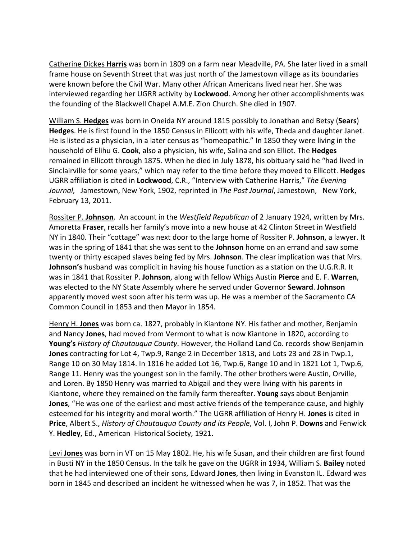Catherine Dickes **Harris** was born in 1809 on a farm near Meadville, PA. She later lived in a small frame house on Seventh Street that was just north of the Jamestown village as its boundaries were known before the Civil War. Many other African Americans lived near her. She was interviewed regarding her UGRR activity by **Lockwood**. Among her other accomplishments was the founding of the Blackwell Chapel A.M.E. Zion Church. She died in 1907.

William S. **Hedges** was born in Oneida NY around 1815 possibly to Jonathan and Betsy (**Sears**) **Hedges**. He is first found in the 1850 Census in Ellicott with his wife, Theda and daughter Janet. He is listed as a physician, in a later census as "homeopathic." In 1850 they were living in the household of Elihu G. **Cook**, also a physician, his wife, Salina and son Elliot. The **Hedges** remained in Ellicott through 1875. When he died in July 1878, his obituary said he "had lived in Sinclairville for some years," which may refer to the time before they moved to Ellicott. **Hedges** UGRR affiliation is cited in **Lockwood**, C.R., "Interview with Catherine Harris," *The Evening Journal,* Jamestown, New York, 1902, reprinted in *The Post Journal*, Jamestown, New York, February 13, 2011.

Rossiter P. **Johnson**. An account in the *Westfield Republican* of 2 January 1924, written by Mrs. Amoretta **Fraser**, recalls her family's move into a new house at 42 Clinton Street in Westfield NY in 1840. Their "cottage" was next door to the large home of Rossiter P. **Johnson**, a lawyer. It was in the spring of 1841 that she was sent to the **Johnson** home on an errand and saw some twenty or thirty escaped slaves being fed by Mrs. **Johnson**. The clear implication was that Mrs. **Johnson's** husband was complicit in having his house function as a station on the U.G.R.R. It was in 1841 that Rossiter P. **Johnson**, along with fellow Whigs Austin **Pierce** and E. F. **Warren**, was elected to the NY State Assembly where he served under Governor **Seward**. **Johnson** apparently moved west soon after his term was up. He was a member of the Sacramento CA Common Council in 1853 and then Mayor in 1854.

Henry H. **Jones** was born ca. 1827, probably in Kiantone NY. His father and mother, Benjamin and Nancy **Jones**, had moved from Vermont to what is now Kiantone in 1820, according to **Young's** *History of Chautauqua County*. However, the Holland Land Co. records show Benjamin **Jones** contracting for Lot 4, Twp.9, Range 2 in December 1813, and Lots 23 and 28 in Twp.1, Range 10 on 30 May 1814. In 1816 he added Lot 16, Twp.6, Range 10 and in 1821 Lot 1, Twp.6, Range 11. Henry was the youngest son in the family. The other brothers were Austin, Orville, and Loren. By 1850 Henry was married to Abigail and they were living with his parents in Kiantone, where they remained on the family farm thereafter. **Young** says about Benjamin **Jones**, "He was one of the earliest and most active friends of the temperance cause, and highly esteemed for his integrity and moral worth." The UGRR affiliation of Henry H. **Jones** is cited in **Price**, Albert S., *History of Chautauqua County and its People*, Vol. I, John P. **Downs** and Fenwick Y. **Hedley**, Ed., American Historical Society, 1921.

Levi **Jones** was born in VT on 15 May 1802. He, his wife Susan, and their children are first found in Busti NY in the 1850 Census. In the talk he gave on the UGRR in 1934, William S. **Bailey** noted that he had interviewed one of their sons, Edward **Jones**, then living in Evanston IL. Edward was born in 1845 and described an incident he witnessed when he was 7, in 1852. That was the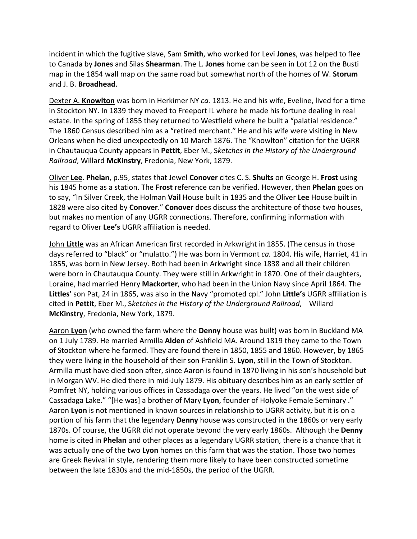incident in which the fugitive slave, Sam **Smith**, who worked for Levi **Jones**, was helped to flee to Canada by **Jones** and Silas **Shearman**. The L. **Jones** home can be seen in Lot 12 on the Busti map in the 1854 wall map on the same road but somewhat north of the homes of W. **Storum** and J. B. **Broadhead**.

Dexter A. **Knowlton** was born in Herkimer NY *ca.* 1813. He and his wife, Eveline, lived for a time in Stockton NY. In 1839 they moved to Freeport IL where he made his fortune dealing in real estate. In the spring of 1855 they returned to Westfield where he built a "palatial residence." The 1860 Census described him as a "retired merchant." He and his wife were visiting in New Orleans when he died unexpectedly on 10 March 1876. The "Knowlton" citation for the UGRR in Chautauqua County appears in **Pettit**, Eber M., S*ketches in the History of the Underground Railroad*, Willard **McKinstry**, Fredonia, New York, 1879.

Oliver **Lee**. **Phelan**, p.95, states that Jewel **Conover** cites C. S. **Shults** on George H. **Frost** using his 1845 home as a station. The **Frost** reference can be verified. However, then **Phelan** goes on to say, "In Silver Creek, the Holman **Vail** House built in 1835 and the Oliver **Lee** House built in 1828 were also cited by **Conover**." **Conover** does discuss the architecture of those two houses, but makes no mention of any UGRR connections. Therefore, confirming information with regard to Oliver **Lee's** UGRR affiliation is needed.

John **Little** was an African American first recorded in Arkwright in 1855. (The census in those days referred to "black" or "mulatto.") He was born in Vermont *ca.* 1804. His wife, Harriet, 41 in 1855, was born in New Jersey. Both had been in Arkwright since 1838 and all their children were born in Chautauqua County. They were still in Arkwright in 1870. One of their daughters, Loraine, had married Henry **Mackorter**, who had been in the Union Navy since April 1864. The **Littles'** son Pat, 24 in 1865, was also in the Navy "promoted cpl." John **Little's** UGRR affiliation is cited in **Pettit**, Eber M., S*ketches in the History of the Underground Railroad*, Willard **McKinstry**, Fredonia, New York, 1879.

Aaron **Lyon** (who owned the farm where the **Denny** house was built) was born in Buckland MA on 1 July 1789. He married Armilla **Alden** of Ashfield MA. Around 1819 they came to the Town of Stockton where he farmed. They are found there in 1850, 1855 and 1860. However, by 1865 they were living in the household of their son Franklin S. **Lyon**, still in the Town of Stockton. Armilla must have died soon after, since Aaron is found in 1870 living in his son's household but in Morgan WV. He died there in mid-July 1879. His obituary describes him as an early settler of Pomfret NY, holding various offices in Cassadaga over the years. He lived "on the west side of Cassadaga Lake." "[He was] a brother of Mary **Lyon**, founder of Holyoke Female Seminary ." Aaron **Lyon** is not mentioned in known sources in relationship to UGRR activity, but it is on a portion of his farm that the legendary **Denny** house was constructed in the 1860s or very early 1870s. Of course, the UGRR did not operate beyond the very early 1860s. Although the **Denny** home is cited in **Phelan** and other places as a legendary UGRR station, there is a chance that it was actually one of the two **Lyon** homes on this farm that was the station. Those two homes are Greek Revival in style, rendering them more likely to have been constructed sometime between the late 1830s and the mid‐1850s, the period of the UGRR.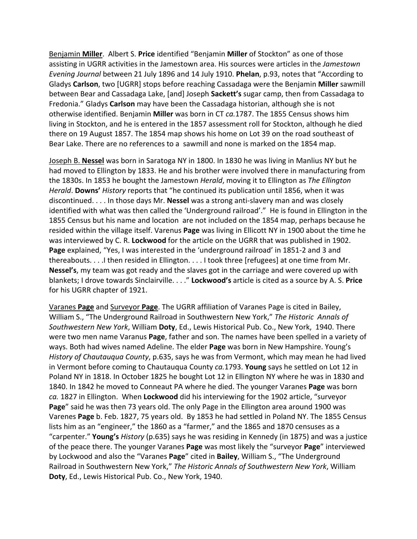Benjamin **Miller**. Albert S. **Price** identified "Benjamin **Miller** of Stockton" as one of those assisting in UGRR activities in the Jamestown area. His sources were articles in the *Jamestown Evening Journal* between 21 July 1896 and 14 July 1910. **Phelan**, p.93, notes that "According to Gladys **Carlson**, two [UGRR] stops before reaching Cassadaga were the Benjamin **Miller** sawmill between Bear and Cassadaga Lake, [and] Joseph **Sackett's** sugar camp, then from Cassadaga to Fredonia." Gladys **Carlson** may have been the Cassadaga historian, although she is not otherwise identified. Benjamin **Miller** was born in CT *ca.*1787. The 1855 Census shows him living in Stockton, and he is entered in the 1857 assessment roll for Stockton, although he died there on 19 August 1857. The 1854 map shows his home on Lot 39 on the road southeast of Bear Lake. There are no references to a sawmill and none is marked on the 1854 map.

Joseph B. **Nessel** was born in Saratoga NY in 1800. In 1830 he was living in Manlius NY but he had moved to Ellington by 1833. He and his brother were involved there in manufacturing from the 1830s. In 1853 he bought the Jamestown *Herald*, moving it to Ellington as *The Ellington Herald*. **Downs'** *History* reports that "he continued its publication until 1856, when it was discontinued. . . . In those days Mr. **Nessel** was a strong anti‐slavery man and was closely identified with what was then called the 'Underground railroad'." He is found in Ellington in the 1855 Census but his name and location are not included on the 1854 map, perhaps because he resided within the village itself. Varenus **Page** was living in Ellicott NY in 1900 about the time he was interviewed by C. R. **Lockwood** for the article on the UGRR that was published in 1902. **Page** explained, "Yes, I was interested in the 'underground railroad' in 1851‐2 and 3 and thereabouts. . . .I then resided in Ellington. . . . I took three [refugees] at one time from Mr. **Nessel's**, my team was got ready and the slaves got in the carriage and were covered up with blankets; I drove towards Sinclairville. . . ." **Lockwood's** article is cited as a source by A. S. **Price** for his UGRR chapter of 1921.

Varanes **Page** and Surveyor **Page**. The UGRR affiliation of Varanes Page is cited in Bailey, William S., "The Underground Railroad in Southwestern New York," *The Historic Annals of Southwestern New York*, William **Doty**, Ed., Lewis Historical Pub. Co., New York, 1940. There were two men name Varanus **Page**, father and son. The names have been spelled in a variety of ways. Both had wives named Adeline. The elder **Page** was born in New Hampshire. Young's *History of Chautauqua County*, p.635, says he was from Vermont, which may mean he had lived in Vermont before coming to Chautauqua County *ca.*1793. **Young** says he settled on Lot 12 in Poland NY in 1818. In October 1825 he bought Lot 12 in Ellington NY where he was in 1830 and 1840. In 1842 he moved to Conneaut PA where he died. The younger Varanes **Page** was born *ca.* 1827 in Ellington. When **Lockwood** did his interviewing for the 1902 article, "surveyor **Page**" said he was then 73 years old. The only Page in the Ellington area around 1900 was Varenes **Page** b. Feb. 1827, 75 years old. By 1853 he had settled in Poland NY. The 1855 Census lists him as an "engineer," the 1860 as a "farmer," and the 1865 and 1870 censuses as a "carpenter." **Young's** *History* (p.635) says he was residing in Kennedy (in 1875) and was a justice of the peace there. The younger Varanes **Page** was most likely the "surveyor **Page**" interviewed by Lockwood and also the "Varanes **Page**" cited in **Bailey**, William S., "The Underground Railroad in Southwestern New York," *The Historic Annals of Southwestern New York*, William **Doty**, Ed., Lewis Historical Pub. Co., New York, 1940.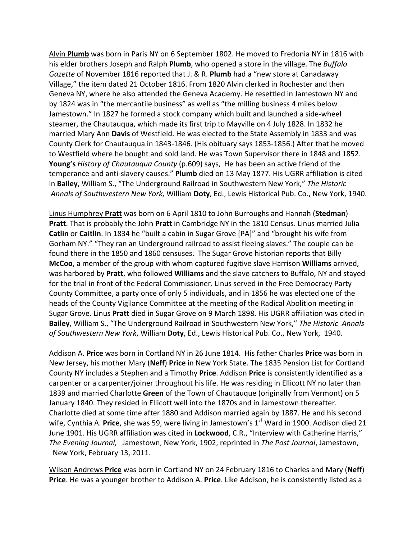Alvin **Plumb** was born in Paris NY on 6 September 1802. He moved to Fredonia NY in 1816 with his elder brothers Joseph and Ralph **Plumb**, who opened a store in the village. The *Buffalo Gazette* of November 1816 reported that J. & R. **Plumb** had a "new store at Canadaway Village," the item dated 21 October 1816. From 1820 Alvin clerked in Rochester and then Geneva NY, where he also attended the Geneva Academy. He resettled in Jamestown NY and by 1824 was in "the mercantile business" as well as "the milling business 4 miles below Jamestown." In 1827 he formed a stock company which built and launched a side‐wheel steamer, the Chautauqua, which made its first trip to Mayville on 4 July 1828. In 1832 he married Mary Ann **Davis** of Westfield. He was elected to the State Assembly in 1833 and was County Clerk for Chautauqua in 1843‐1846. (His obituary says 1853‐1856.) After that he moved to Westfield where he bought and sold land. He was Town Supervisor there in 1848 and 1852. **Young's** *History of Chautauqua County* (p.609) says, He has been an active friend of the temperance and anti‐slavery causes." **Plumb** died on 13 May 1877. His UGRR affiliation is cited in **Bailey**, William S., "The Underground Railroad in Southwestern New York," *The Historic Annals of Southwestern New York,* William **Doty**, Ed., Lewis Historical Pub. Co., New York, 1940.

Linus Humphrey **Pratt** was born on 6 April 1810 to John Burroughs and Hannah (**Stedman**) **Pratt**. That is probably the John **Pratt** in Cambridge NY in the 1810 Census. Linus married Julia **Catlin** or **Caitlin**. In 1834 he "built a cabin in Sugar Grove [PA]" and "brought his wife from Gorham NY." "They ran an Underground railroad to assist fleeing slaves." The couple can be found there in the 1850 and 1860 censuses. The Sugar Grove historian reports that Billy **McCoo**, a member of the group with whom captured fugitive slave Harrison **Williams** arrived, was harbored by **Pratt**, who followed **Williams** and the slave catchers to Buffalo, NY and stayed for the trial in front of the Federal Commissioner. Linus served in the Free Democracy Party County Committee, a party once of only 5 individuals, and in 1856 he was elected one of the heads of the County Vigilance Committee at the meeting of the Radical Abolition meeting in Sugar Grove. Linus **Pratt** died in Sugar Grove on 9 March 1898. His UGRR affiliation was cited in **Bailey**, William S., "The Underground Railroad in Southwestern New York," *The Historic Annals of Southwestern New York*, William **Doty**, Ed., Lewis Historical Pub. Co., New York, 1940.

Addison A. **Price** was born in Cortland NY in 26 June 1814. His father Charles **Price** was born in New Jersey, his mother Mary (**Neff**) **Price** in New York State. The 1835 Pension List for Cortland County NY includes a Stephen and a Timothy **Price**. Addison **Price** is consistently identified as a carpenter or a carpenter/joiner throughout his life. He was residing in Ellicott NY no later than 1839 and married Charlotte **Green** of the Town of Chautauque (originally from Vermont) on 5 January 1840. They resided in Ellicott well into the 1870s and in Jamestown thereafter. Charlotte died at some time after 1880 and Addison married again by 1887. He and his second wife, Cynthia A. Price, she was 59, were living in Jamestown's 1<sup>st</sup> Ward in 1900. Addison died 21 June 1901. His UGRR affiliation was cited in **Lockwood**, C.R., "Interview with Catherine Harris," *The Evening Journal,* Jamestown, New York, 1902, reprinted in *The Post Journal*, Jamestown, New York, February 13, 2011.

Wilson Andrews **Price** was born in Cortland NY on 24 February 1816 to Charles and Mary (**Neff**) **Price**. He was a younger brother to Addison A. **Price**. Like Addison, he is consistently listed as a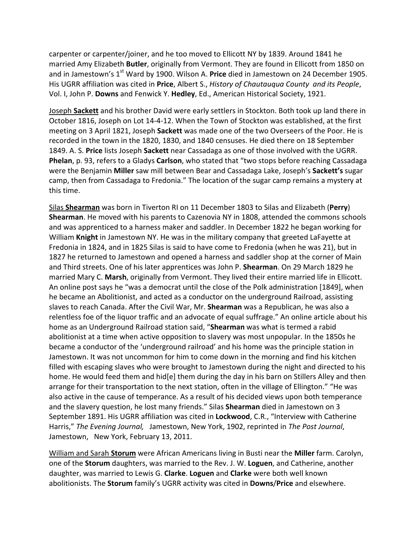carpenter or carpenter/joiner, and he too moved to Ellicott NY by 1839. Around 1841 he married Amy Elizabeth **Butler**, originally from Vermont. They are found in Ellicott from 1850 on and in Jamestown's 1<sup>st</sup> Ward by 1900. Wilson A. **Price** died in Jamestown on 24 December 1905. His UGRR affiliation was cited in **Price**, Albert S., *History of Chautauqua County and its People*, Vol. I, John P. **Downs** and Fenwick Y. **Hedley**, Ed., American Historical Society, 1921.

Joseph **Sackett** and his brother David were early settlers in Stockton. Both took up land there in October 1816, Joseph on Lot 14‐4‐12. When the Town of Stockton was established, at the first meeting on 3 April 1821, Joseph **Sackett** was made one of the two Overseers of the Poor. He is recorded in the town in the 1820, 1830, and 1840 censuses. He died there on 18 September 1849. A. S. **Price** lists Joseph **Sackett** near Cassadaga as one of those involved with the UGRR. **Phelan**, p. 93, refers to a Gladys **Carlson**, who stated that "two stops before reaching Cassadaga were the Benjamin **Miller** saw mill between Bear and Cassadaga Lake, Joseph's **Sackett's** sugar camp, then from Cassadaga to Fredonia." The location of the sugar camp remains a mystery at this time.

Silas **Shearman** was born in Tiverton RI on 11 December 1803 to Silas and Elizabeth (**Perry**) **Shearman**. He moved with his parents to Cazenovia NY in 1808, attended the commons schools and was apprenticed to a harness maker and saddler. In December 1822 he began working for William **Knight** in Jamestown NY. He was in the military company that greeted LaFayette at Fredonia in 1824, and in 1825 Silas is said to have come to Fredonia (when he was 21), but in 1827 he returned to Jamestown and opened a harness and saddler shop at the corner of Main and Third streets. One of his later apprentices was John P. **Shearman**. On 29 March 1829 he married Mary C. **Marsh**, originally from Vermont. They lived their entire married life in Ellicott. An online post says he "was a democrat until the close of the Polk administration [1849], when he became an Abolitionist, and acted as a conductor on the underground Railroad, assisting slaves to reach Canada. After the Civil War, Mr. **Shearman** was a Republican, he was also a relentless foe of the liquor traffic and an advocate of equal suffrage." An online article about his home as an Underground Railroad station said, "**Shearman** was what is termed a rabid abolitionist at a time when active opposition to slavery was most unpopular. In the 1850s he became a conductor of the 'underground railroad' and his home was the principle station in Jamestown. It was not uncommon for him to come down in the morning and find his kitchen filled with escaping slaves who were brought to Jamestown during the night and directed to his home. He would feed them and hid[e] them during the day in his barn on Stillers Alley and then arrange for their transportation to the next station, often in the village of Ellington." "He was also active in the cause of temperance. As a result of his decided views upon both temperance and the slavery question, he lost many friends." Silas **Shearman** died in Jamestown on 3 September 1891. His UGRR affiliation was cited in **Lockwood**, C.R., "Interview with Catherine Harris," *The Evening Journal,* Jamestown, New York, 1902, reprinted in *The Post Journal*, Jamestown, New York, February 13, 2011.

William and Sarah **Storum** were African Americans living in Busti near the **Miller** farm. Carolyn, one of the **Storum** daughters, was married to the Rev. J. W. **Loguen**, and Catherine, another daughter, was married to Lewis G. **Clarke**. **Loguen** and **Clarke** were both well known abolitionists. The **Storum** family's UGRR activity was cited in **Downs**/**Price** and elsewhere.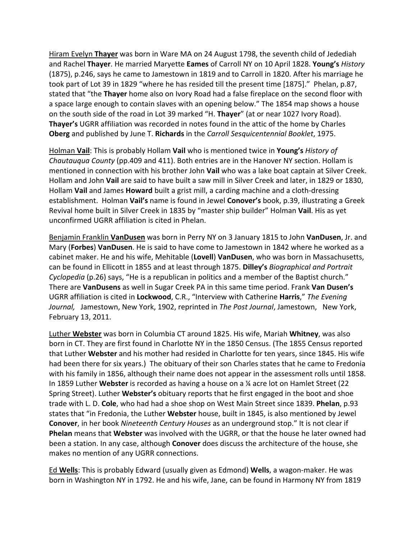Hiram Evelyn **Thayer** was born in Ware MA on 24 August 1798, the seventh child of Jedediah and Rachel **Thayer**. He married Maryette **Eames** of Carroll NY on 10 April 1828. **Young's** *History* (1875), p.246, says he came to Jamestown in 1819 and to Carroll in 1820. After his marriage he took part of Lot 39 in 1829 "where he has resided till the present time [1875]." Phelan, p.87, stated that "the **Thayer** home also on Ivory Road had a false fireplace on the second floor with a space large enough to contain slaves with an opening below." The 1854 map shows a house on the south side of the road in Lot 39 marked "H. **Thayer**" (at or near 1027 Ivory Road). **Thayer's** UGRR affiliation was recorded in notes found in the attic of the home by Charles **Oberg** and published by June T. **Richards** in the *Carroll Sesquicentennial Booklet*, 1975.

Holman **Vail**: This is probably Hollam **Vail** who is mentioned twice in **Young's** *History of Chautauqua County* (pp.409 and 411). Both entries are in the Hanover NY section. Hollam is mentioned in connection with his brother John **Vail** who was a lake boat captain at Silver Creek. Hollam and John **Vail** are said to have built a saw mill in Silver Creek and later, in 1829 or 1830, Hollam **Vail** and James **Howard** built a grist mill, a carding machine and a cloth‐dressing establishment. Holman **Vail's** name is found in Jewel **Conover's** book, p.39, illustrating a Greek Revival home built in Silver Creek in 1835 by "master ship builder" Holman **Vail**. His as yet unconfirmed UGRR affiliation is cited in Phelan.

Benjamin Franklin **VanDusen** was born in Perry NY on 3 January 1815 to John **VanDusen**, Jr. and Mary (**Forbes**) **VanDusen**. He is said to have come to Jamestown in 1842 where he worked as a cabinet maker. He and his wife, Mehitable (**Lovell**) **VanDusen**, who was born in Massachusetts, can be found in Ellicott in 1855 and at least through 1875. **Dilley's** *Biographical and Portrait Cyclopedia* (p.26) says, "He is a republican in politics and a member of the Baptist church." There are **VanDusens** as well in Sugar Creek PA in this same time period. Frank **Van Dusen's** UGRR affiliation is cited in **Lockwood**, C.R., "Interview with Catherine **Harris**," *The Evening Journal,* Jamestown, New York, 1902, reprinted in *The Post Journal*, Jamestown, New York, February 13, 2011.

Luther **Webster** was born in Columbia CT around 1825. His wife, Mariah **Whitney**, was also born in CT. They are first found in Charlotte NY in the 1850 Census. (The 1855 Census reported that Luther **Webster** and his mother had resided in Charlotte for ten years, since 1845. His wife had been there for six years.) The obituary of their son Charles states that he came to Fredonia with his family in 1856, although their name does not appear in the assessment rolls until 1858. In 1859 Luther **Webster** is recorded as having a house on a ¼ acre lot on Hamlet Street (22 Spring Street). Luther **Webster's** obituary reports that he first engaged in the boot and shoe trade with L. D. **Cole**, who had had a shoe shop on West Main Street since 1839. **Phelan**, p.93 states that "in Fredonia, the Luther **Webster** house, built in 1845, is also mentioned by Jewel **Conover**, in her book *Nineteenth Century Houses* as an underground stop." It is not clear if **Phelan** means that **Webster** was involved with the UGRR, or that the house he later owned had been a station. In any case, although **Conover** does discuss the architecture of the house, she makes no mention of any UGRR connections.

Ed **Wells**: This is probably Edward (usually given as Edmond) **Wells**, a wagon‐maker. He was born in Washington NY in 1792. He and his wife, Jane, can be found in Harmony NY from 1819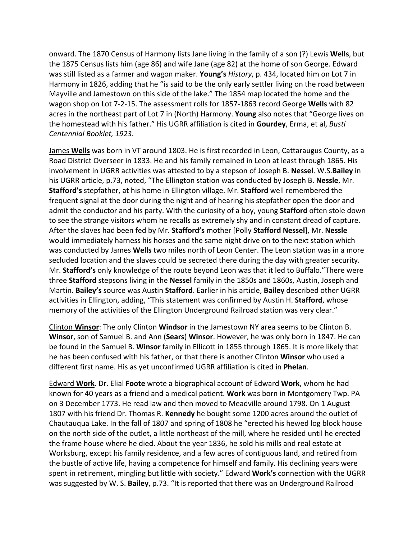onward. The 1870 Census of Harmony lists Jane living in the family of a son (?) Lewis **Wells**, but the 1875 Census lists him (age 86) and wife Jane (age 82) at the home of son George. Edward was still listed as a farmer and wagon maker. **Young's** *History*, p. 434, located him on Lot 7 in Harmony in 1826, adding that he "is said to be the only early settler living on the road between Mayville and Jamestown on this side of the lake." The 1854 map located the home and the wagon shop on Lot 7‐2‐15. The assessment rolls for 1857‐1863 record George **Wells** with 82 acres in the northeast part of Lot 7 in (North) Harmony. **Young** also notes that "George lives on the homestead with his father." His UGRR affiliation is cited in **Gourdey**, Erma, et al, *Busti Centennial Booklet, 1923*.

James **Wells** was born in VT around 1803. He is first recorded in Leon, Cattaraugus County, as a Road District Overseer in 1833. He and his family remained in Leon at least through 1865. His involvement in UGRR activities was attested to by a stepson of Joseph B. **Nessel**. W.S.**Bailey** in his UGRR article, p.73, noted, "The Ellington station was conducted by Joseph B. **Nessle**, Mr. **Stafford's** stepfather, at his home in Ellington village. Mr. **Stafford** well remembered the frequent signal at the door during the night and of hearing his stepfather open the door and admit the conductor and his party. With the curiosity of a boy, young **Stafford** often stole down to see the strange visitors whom he recalls as extremely shy and in constant dread of capture. After the slaves had been fed by Mr. **Stafford's** mother [Polly **Stafford Nessel**], Mr. **Nessle** would immediately harness his horses and the same night drive on to the next station which was conducted by James **Wells** two miles north of Leon Center. The Leon station was in a more secluded location and the slaves could be secreted there during the day with greater security. Mr. **Stafford's** only knowledge of the route beyond Leon was that it led to Buffalo."There were three **Stafford** stepsons living in the **Nessel** family in the 1850s and 1860s, Austin, Joseph and Martin. **Bailey's** source was Austin **Stafford**. Earlier in his article, **Bailey** described other UGRR activities in Ellington, adding, "This statement was confirmed by Austin H. **Stafford**, whose memory of the activities of the Ellington Underground Railroad station was very clear."

Clinton **Winsor**: The only Clinton **Windsor** in the Jamestown NY area seems to be Clinton B. **Winsor**, son of Samuel B. and Ann (**Sears**) **Winsor**. However, he was only born in 1847. He can be found in the Samuel B. **Winsor** family in Ellicott in 1855 through 1865. It is more likely that he has been confused with his father, or that there is another Clinton **Winsor** who used a different first name. His as yet unconfirmed UGRR affiliation is cited in **Phelan**.

Edward **Work**. Dr. Elial **Foote** wrote a biographical account of Edward **Work**, whom he had known for 40 years as a friend and a medical patient. **Work** was born in Montgomery Twp. PA on 3 December 1773. He read law and then moved to Meadville around 1798. On 1 August 1807 with his friend Dr. Thomas R. **Kennedy** he bought some 1200 acres around the outlet of Chautauqua Lake. In the fall of 1807 and spring of 1808 he "erected his hewed log block house on the north side of the outlet, a little northeast of the mill, where he resided until he erected the frame house where he died. About the year 1836, he sold his mills and real estate at Worksburg, except his family residence, and a few acres of contiguous land, and retired from the bustle of active life, having a competence for himself and family. His declining years were spent in retirement, mingling but little with society." Edward **Work's** connection with the UGRR was suggested by W. S. **Bailey**, p.73. "It is reported that there was an Underground Railroad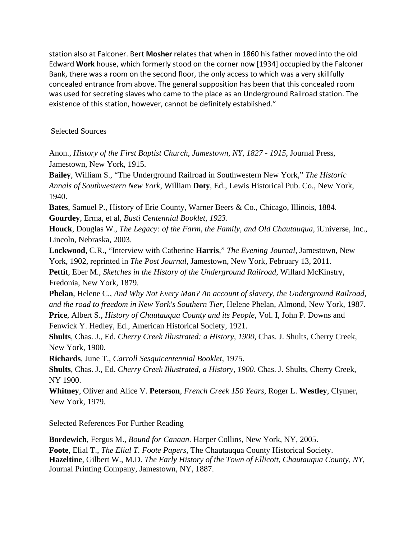station also at Falconer. Bert **Mosher** relates that when in 1860 his father moved into the old Edward **Work** house, which formerly stood on the corner now [1934] occupied by the Falconer Bank, there was a room on the second floor, the only access to which was a very skillfully concealed entrance from above. The general supposition has been that this concealed room was used for secreting slaves who came to the place as an Underground Railroad station. The existence of this station, however, cannot be definitely established."

## Selected Sources

Anon., *History of the First Baptist Church, Jamestown, NY, 1827 - 1915*, Journal Press, Jamestown, New York, 1915.

**Bailey**, William S., "The Underground Railroad in Southwestern New York," *The Historic Annals of Southwestern New York*, William **Doty**, Ed., Lewis Historical Pub. Co., New York, 1940.

**Bates**, Samuel P., History of Erie County, Warner Beers & Co., Chicago, Illinois, 1884. **Gourdey**, Erma, et al, *Busti Centennial Booklet, 1923*.

**Houck**, Douglas W., *The Legacy: of the Farm, the Family, and Old Chautauqua,* iUniverse, Inc., Lincoln, Nebraska, 2003.

**Lockwood**, C.R., "Interview with Catherine **Harris**," *The Evening Journal,* Jamestown, New York, 1902, reprinted in *The Post Journal*, Jamestown, New York, February 13, 2011. **Pettit**, Eber M., *Sketches in the History of the Underground Railroad*, Willard McKinstry,

Fredonia, New York, 1879.

**Phelan**, Helene C., *And Why Not Every Man? An account of slavery, the Underground Railroad, and the road to freedom in New York's Southern Tier*, Helene Phelan, Almond, New York, 1987. **Price**, Albert S., *History of Chautauqua County and its People*, Vol. I, John P. Downs and Fenwick Y. Hedley, Ed., American Historical Society, 1921.

**Shults**, Chas. J., Ed. *Cherry Creek Illustrated: a History, 1900*, Chas. J. Shults, Cherry Creek, New York, 1900.

**Richards**, June T., *Carroll Sesquicentennial Booklet*, 1975.

**Shults**, Chas. J., Ed. *Cherry Creek Illustrated, a History, 1900*. Chas. J. Shults, Cherry Creek, NY 1900.

**Whitney**, Oliver and Alice V. **Peterson**, *French Creek 150 Years*, Roger L. **Westley**, Clymer, New York, 1979.

## Selected References For Further Reading

**Bordewich**, Fergus M., *Bound for Canaan*. Harper Collins, New York, NY, 2005. **Foote**, Elial T., *The Elial T. Foote Papers*, The Chautauqua County Historical Society. **Hazeltine**, Gilbert W., M.D. *The Early History of the Town of Ellicott, Chautauqua County, NY*, Journal Printing Company, Jamestown, NY, 1887.